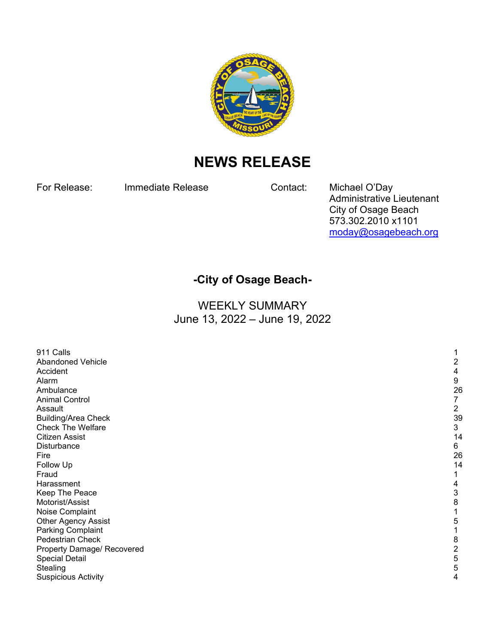

## **NEWS RELEASE**

For Release: Immediate Release Contact: Michael O'Day

Administrative Lieutenant City of Osage Beach 573.302.2010 x1101 [moday@osagebeach.org](mailto:moday@osagebeach.org)

## **-City of Osage Beach-**

WEEKLY SUMMARY June 13, 2022 – June 19, 2022

| 911 Calls                  |                |
|----------------------------|----------------|
| Abandoned Vehicle          | 2              |
| Accident                   | 4              |
| Alarm                      | 9              |
| Ambulance                  | 26             |
| <b>Animal Control</b>      | 7              |
| Assault                    | $\overline{c}$ |
| <b>Building/Area Check</b> | 39             |
| <b>Check The Welfare</b>   | $\mathfrak{S}$ |
| <b>Citizen Assist</b>      | 14             |
| Disturbance                | 6              |
| Fire                       | 26             |
| Follow Up                  | 14             |
| Fraud                      |                |
| Harassment                 | 4              |
| Keep The Peace             | 3              |
| Motorist/Assist            | 8              |
| Noise Complaint            |                |
| <b>Other Agency Assist</b> | 5              |
| Parking Complaint          |                |
| Pedestrian Check           | 8              |
| Property Damage/ Recovered | 2              |
| <b>Special Detail</b>      | 5              |
| Stealing                   | 5              |
| <b>Suspicious Activity</b> | 4              |
|                            |                |